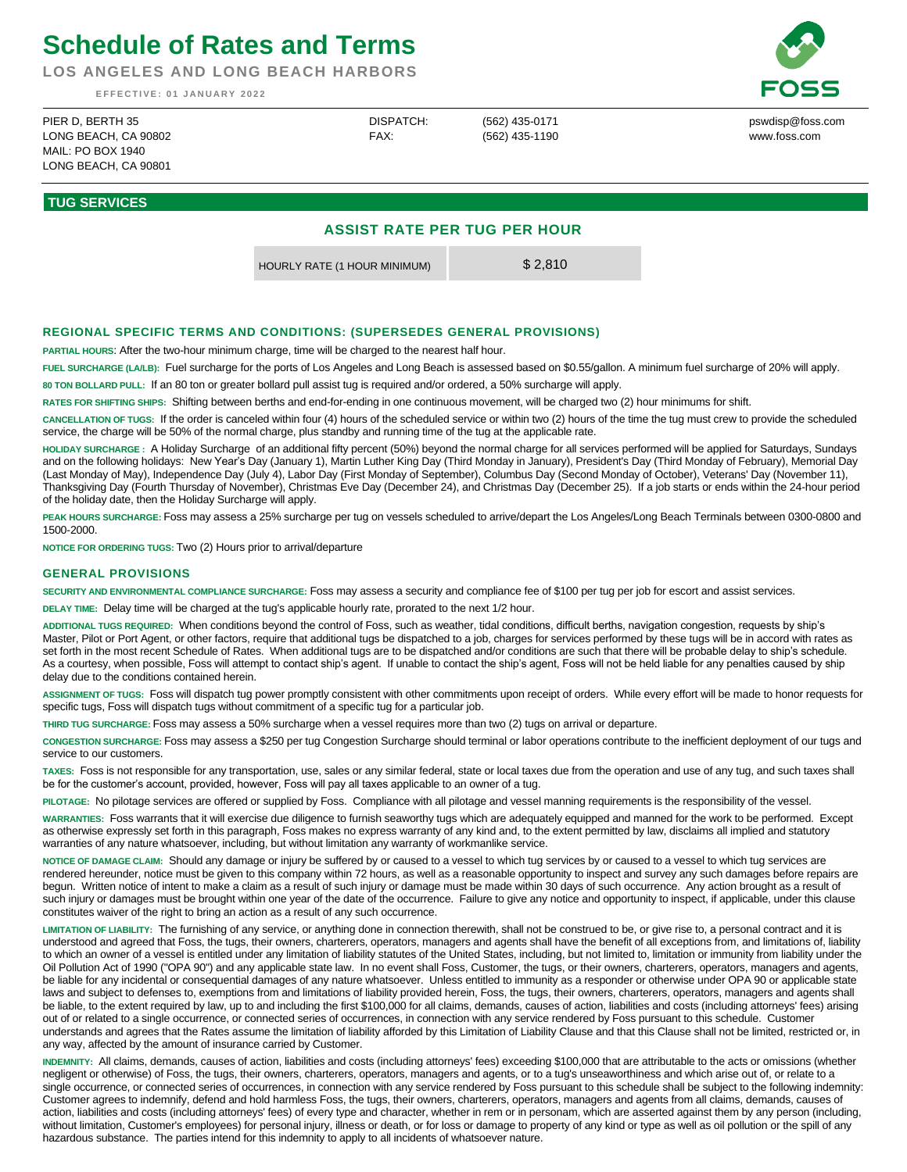## **Schedule of Rates and Terms**

**LOS ANGELES AND LONG BEACH HARBORS**

**E F F E C T I V E : 0 1 J A N U A R Y 2 0 2 2**

pswdisp@foss.com www.foss.com

PIER D, BERTH 35 LONG BEACH, CA 90802  $M$ AII · PO BOX 1940 LONG BEACH, CA 90801

DISPATCH: FAX:

(562) 435-0171 (562) 435-1190

**TUG SERVICES**

## **ASSIST RATE PER TUG PER HOUR**

HOURLY RATE (1 HOUR MINIMUM) \$ 2,810

## **REGIONAL SPECIFIC TERMS AND CONDITIONS: (SUPERSEDES GENERAL PROVISIONS)**

**PARTIAL HOURS**: After the two-hour minimum charge, time will be charged to the nearest half hour.

**FUEL SURCHARGE (LA/LB):** Fuel surcharge for the ports of Los Angeles and Long Beach is assessed based on \$0.55/gallon. A minimum fuel surcharge of 20% will apply. **80 TON BOLLARD PULL:** If an 80 ton or greater bollard pull assist tug is required and/or ordered, a 50% surcharge will apply.

**RATES FOR SHIFTING SHIPS:** Shifting between berths and end-for-ending in one continuous movement, will be charged two (2) hour minimums for shift.

**CANCELLATION OF TUGS:** If the order is canceled within four (4) hours of the scheduled service or within two (2) hours of the time the tug must crew to provide the scheduled service, the charge will be 50% of the normal charge, plus standby and running time of the tug at the applicable rate.

**HOLIDAY SURCHARGE :** A Holiday Surcharge of an additional fifty percent (50%) beyond the normal charge for all services performed will be applied for Saturdays, Sundays and on the following holidays: New Year's Day (January 1), Martin Luther King Day (Third Monday in January), President's Day (Third Monday of February), Memorial Day (Last Monday of May), Independence Day (July 4), Labor Day (First Monday of September), Columbus Day (Second Monday of October), Veterans' Day (November 11), Thanksgiving Day (Fourth Thursday of November), Christmas Eve Day (December 24), and Christmas Day (December 25). If a job starts or ends within the 24-hour period of the holiday date, then the Holiday Surcharge will apply.

**PEAK HOURS SURCHARGE:** Foss may assess a 25% surcharge per tug on vessels scheduled to arrive/depart the Los Angeles/Long Beach Terminals between 0300-0800 and 1500-2000.

**NOTICE FOR ORDERING TUGS:** Two (2) Hours prior to arrival/departure

## **GENERAL PROVISIONS**

**SECURITY AND ENVIRONMENTAL COMPLIANCE SURCHARGE:** Foss may assess a security and compliance fee of \$100 per tug per job for escort and assist services.

**DELAY TIME:** Delay time will be charged at the tug's applicable hourly rate, prorated to the next 1/2 hour.

**ADDITIONAL TUGS REQUIRED:** When conditions beyond the control of Foss, such as weather, tidal conditions, difficult berths, navigation congestion, requests by ship's Master, Pilot or Port Agent, or other factors, require that additional tugs be dispatched to a job, charges for services performed by these tugs will be in accord with rates as set forth in the most recent Schedule of Rates. When additional tugs are to be dispatched and/or conditions are such that there will be probable delay to ship's schedule. As a courtesy, when possible, Foss will attempt to contact ship's agent. If unable to contact the ship's agent, Foss will not be held liable for any penalties caused by ship delay due to the conditions contained herein.

**ASSIGNMENT OF TUGS:** Foss will dispatch tug power promptly consistent with other commitments upon receipt of orders. While every effort will be made to honor requests for specific tugs, Foss will dispatch tugs without commitment of a specific tug for a particular job.

**THIRD TUG SURCHARGE:** Foss may assess a 50% surcharge when a vessel requires more than two (2) tugs on arrival or departure.

**CONGESTION SURCHARGE:** Foss may assess a \$250 per tug Congestion Surcharge should terminal or labor operations contribute to the inefficient deployment of our tugs and service to our customers.

**TAXES:** Foss is not responsible for any transportation, use, sales or any similar federal, state or local taxes due from the operation and use of any tug, and such taxes shall be for the customer's account, provided, however, Foss will pay all taxes applicable to an owner of a tug.

**PILOTAGE:** No pilotage services are offered or supplied by Foss. Compliance with all pilotage and vessel manning requirements is the responsibility of the vessel.

**WARRANTIES:** Foss warrants that it will exercise due diligence to furnish seaworthy tugs which are adequately equipped and manned for the work to be performed. Except as otherwise expressly set forth in this paragraph, Foss makes no express warranty of any kind and, to the extent permitted by law, disclaims all implied and statutory warranties of any nature whatsoever, including, but without limitation any warranty of workmanlike service.

**NOTICE OF DAMAGE CLAIM:** Should any damage or injury be suffered by or caused to a vessel to which tug services by or caused to a vessel to which tug services are rendered hereunder, notice must be given to this company within 72 hours, as well as a reasonable opportunity to inspect and survey any such damages before repairs are begun. Written notice of intent to make a claim as a result of such injury or damage must be made within 30 days of such occurrence. Any action brought as a result of such injury or damages must be brought within one year of the date of the occurrence. Failure to give any notice and opportunity to inspect, if applicable, under this clause constitutes waiver of the right to bring an action as a result of any such occurrence.

**LIMITATION OF LIABILITY:** The furnishing of any service, or anything done in connection therewith, shall not be construed to be, or give rise to, a personal contract and it is understood and agreed that Foss, the tugs, their owners, charterers, operators, managers and agents shall have the benefit of all exceptions from, and limitations of, liability to which an owner of a vessel is entitled under any limitation of liability statutes of the United States, including, but not limited to, limitation or immunity from liability under the Oil Pollution Act of 1990 ("OPA 90") and any applicable state law. In no event shall Foss, Customer, the tugs, or their owners, charterers, operators, managers and agents, be liable for any incidental or consequential damages of any nature whatsoever. Unless entitled to immunity as a responder or otherwise under OPA 90 or applicable state laws and subject to defenses to, exemptions from and limitations of liability provided herein, Foss, the tugs, their owners, charterers, operators, managers and agents shall be liable, to the extent required by law, up to and including the first \$100,000 for all claims, demands, causes of action, liabilities and costs (including attorneys' fees) arising out of or related to a single occurrence, or connected series of occurrences, in connection with any service rendered by Foss pursuant to this schedule. Customer understands and agrees that the Rates assume the limitation of liability afforded by this Limitation of Liability Clause and that this Clause shall not be limited, restricted or, in any way, affected by the amount of insurance carried by Customer.

**INDEMNITY:** All claims, demands, causes of action, liabilities and costs (including attorneys' fees) exceeding \$100,000 that are attributable to the acts or omissions (whether negligent or otherwise) of Foss, the tugs, their owners, charterers, operators, managers and agents, or to a tug's unseaworthiness and which arise out of, or relate to a single occurrence, or connected series of occurrences, in connection with any service rendered by Foss pursuant to this schedule shall be subject to the following indemnity: Customer agrees to indemnify, defend and hold harmless Foss, the tugs, their owners, charterers, operators, managers and agents from all claims, demands, causes of action, liabilities and costs (including attorneys' fees) of every type and character, whether in rem or in personam, which are asserted against them by any person (including, without limitation, Customer's employees) for personal injury, illness or death, or for loss or damage to property of any kind or type as well as oil pollution or the spill of any hazardous substance. The parties intend for this indemnity to apply to all incidents of whatsoever nature.